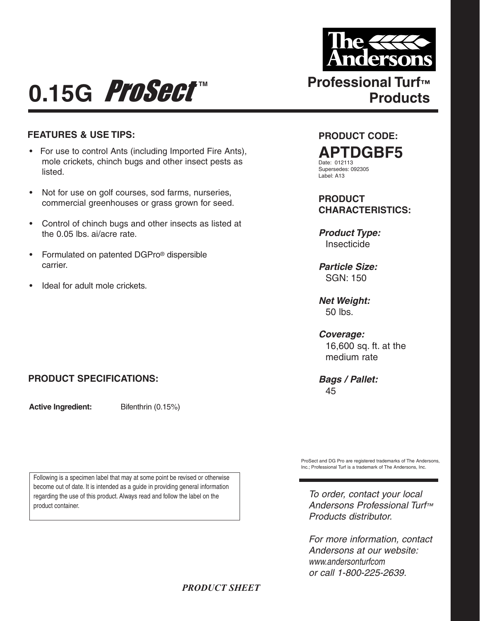

**Products**

## **0.15G** Professional Turf™<br>Products

## **FEATURES & USE TIPS:**

- For use to control Ants (including Imported Fire Ants), mole crickets, chinch bugs and other insect pests as listed.
- Not for use on golf courses, sod farms, nurseries, commercial greenhouses or grass grown for seed.
- Control of chinch bugs and other insects as listed at the 0.05 lbs. ai/acre rate.
- Formulated on patented DGPro® dispersible carrier.
- Ideal for adult mole crickets.

## **PRODUCT SPECIFICATIONS:**

**Active Ingredient:** Bifenthrin (0.15%)

Following is a specimen label that may at some point be revised or otherwise become out of date. It is intended as a guide in providing general information regarding the use of this product. Always read and follow the label on the product container.

**PRODUCT CODE:**

**APTDGBF5** Date: 012113

Supersedes: 092305 Label: A13

**PRODUCT CHARACTERISTICS:**

*Product Type:* Insecticide

*Particle Size:* SGN: 150

*Net Weight:* 50 lbs.

*Coverage:* 16,600 sq. ft. at the medium rate

*Bags / Pallet:* 45

ProSect and DG Pro are registered trademarks of The Andersons, Inc.; Professional Turf is a trademark of The Andersons, Inc.

*To order, contact your local Andersons Professional Turf™ Products distributor.*

*For more information, contact Andersons at our website: www.andersonturfcom or call 1-800-225-2639.*

## *PRODUCT SHEET*